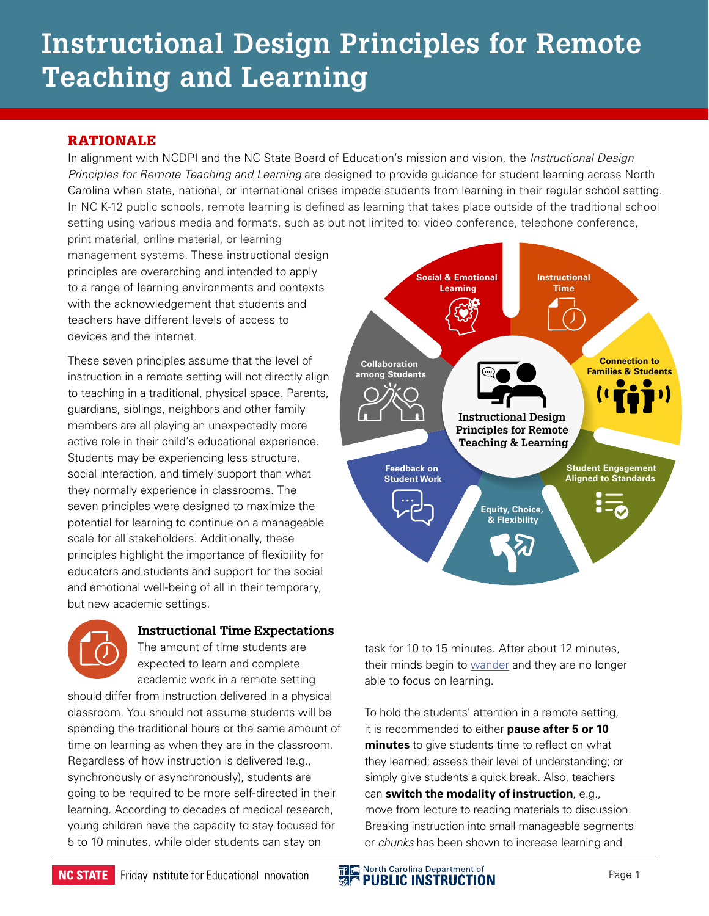# **Instructional Design Principles for Remote Teaching and Learning**

# RATIONALE

In alignment with NCDPI and the NC State Board of Education's mission and vision, the *Instructional Design Principles for Remote Teaching and Learning* are designed to provide guidance for student learning across North Carolina when state, national, or international crises impede students from learning in their regular school setting. In NC K-12 public schools, remote learning is defined as learning that takes place outside of the traditional school setting using various media and formats, such as but not limited to: video conference, telephone conference,

print material, online material, or learning management systems. These instructional design principles are overarching and intended to apply to a range of learning environments and contexts with the acknowledgement that students and teachers have different levels of access to devices and the internet.

These seven principles assume that the level of instruction in a remote setting will not directly align to teaching in a traditional, physical space. Parents, guardians, siblings, neighbors and other family members are all playing an unexpectedly more active role in their child's educational experience. Students may be experiencing less structure, social interaction, and timely support than what they normally experience in classrooms. The seven principles were designed to maximize the potential for learning to continue on a manageable scale for all stakeholders. Additionally, these principles highlight the importance of flexibility for educators and students and support for the social and emotional well-being of all in their temporary, but new academic settings.



## **Instructional Time Expectations**

The amount of time students are expected to learn and complete academic work in a remote setting

should differ from instruction delivered in a physical classroom. You should not assume students will be spending the traditional hours or the same amount of time on learning as when they are in the classroom. Regardless of how instruction is delivered (e.g., synchronously or asynchronously), students are going to be required to be more self-directed in their learning. According to decades of medical research, young children have the capacity to stay focused for 5 to 10 minutes, while older students can stay on



task for 10 to 15 minutes. After about 12 minutes, their minds begin to [wander](https://www.d2l.com/corporate/blog/apply-brain-science-online-learning/) and they are no longer able to focus on learning.

To hold the students' attention in a remote setting, it is recommended to either **pause after 5 or 10 minutes** to give students time to reflect on what they learned; assess their level of understanding; or simply give students a quick break. Also, teachers can **switch the modality of instruction**, e.g., move from lecture to reading materials to discussion. Breaking instruction into small manageable segments or *chunks* has been shown to increase learning and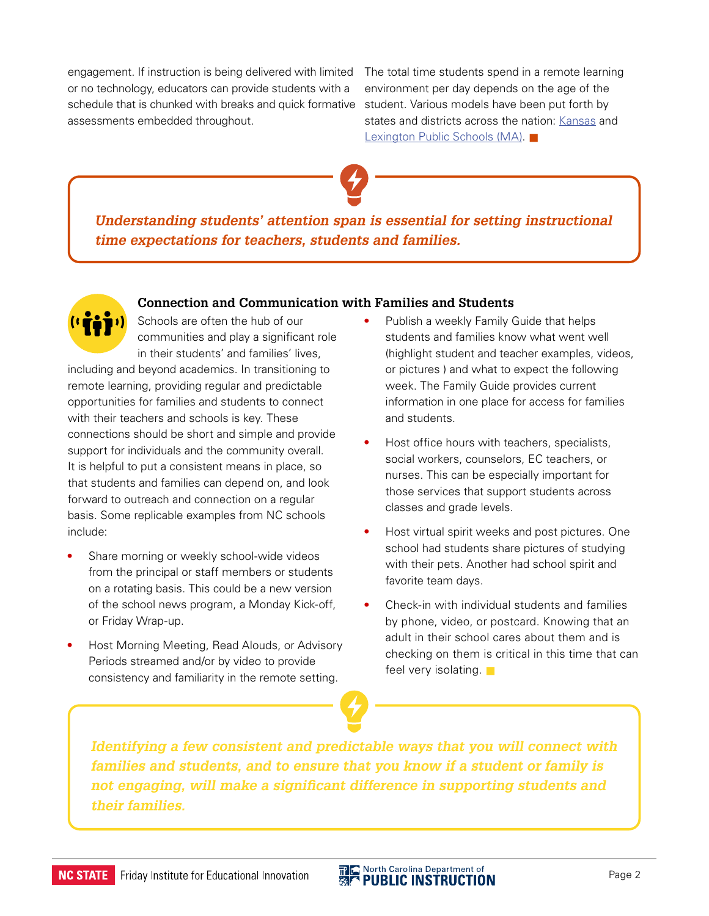engagement. If instruction is being delivered with limited The total time students spend in a remote learning or no technology, educators can provide students with a schedule that is chunked with breaks and quick formative assessments embedded throughout.

environment per day depends on the age of the student. Various models have been put forth by states and districts across the nation: [Kansas](https://www.ksde.org/Portals/0/Communications/Continuous%20Learning%20Documents/Continuous%20Learning%20Task%20Force%20Guidance.pdf?ver=2020-03-31-120422-870) and [Lexington Public Schools \(MA\)](https://docs.google.com/document/d/1Kdkbc-JepwzjEx0m7v4XmvB0G248jS4Q9X__6MN0HRU/preview#bookmark=id.25iu8rs3exd9).



*Understanding students' attention span is essential for setting instructional time expectations for teachers, students and families.*

# **Connection and Communication with Families and Students**



Schools are often the hub of our communities and play a significant role in their students' and families' lives,

including and beyond academics. In transitioning to remote learning, providing regular and predictable opportunities for families and students to connect with their teachers and schools is key. These connections should be short and simple and provide support for individuals and the community overall. It is helpful to put a consistent means in place, so that students and families can depend on, and look forward to outreach and connection on a regular basis. Some replicable examples from NC schools include:

- **•** Share morning or weekly school-wide videos from the principal or staff members or students on a rotating basis. This could be a new version of the school news program, a Monday Kick-off, or Friday Wrap-up.
- **•** Host Morning Meeting, Read Alouds, or Advisory Periods streamed and/or by video to provide consistency and familiarity in the remote setting.
- **•** Publish a weekly Family Guide that helps students and families know what went well (highlight student and teacher examples, videos, or pictures ) and what to expect the following week. The Family Guide provides current information in one place for access for families and students.
- **•** Host office hours with teachers, specialists, social workers, counselors, EC teachers, or nurses. This can be especially important for those services that support students across classes and grade levels.
- **•** Host virtual spirit weeks and post pictures. One school had students share pictures of studying with their pets. Another had school spirit and favorite team days.
- **•** Check-in with individual students and families by phone, video, or postcard. Knowing that an adult in their school cares about them and is checking on them is critical in this time that can feel very isolating.  $\blacksquare$

*Identifying a few consistent and predictable ways that you will connect with families and students, and to ensure that you know if a student or family is not engaging, will make a significant difference in supporting students and their families.* 

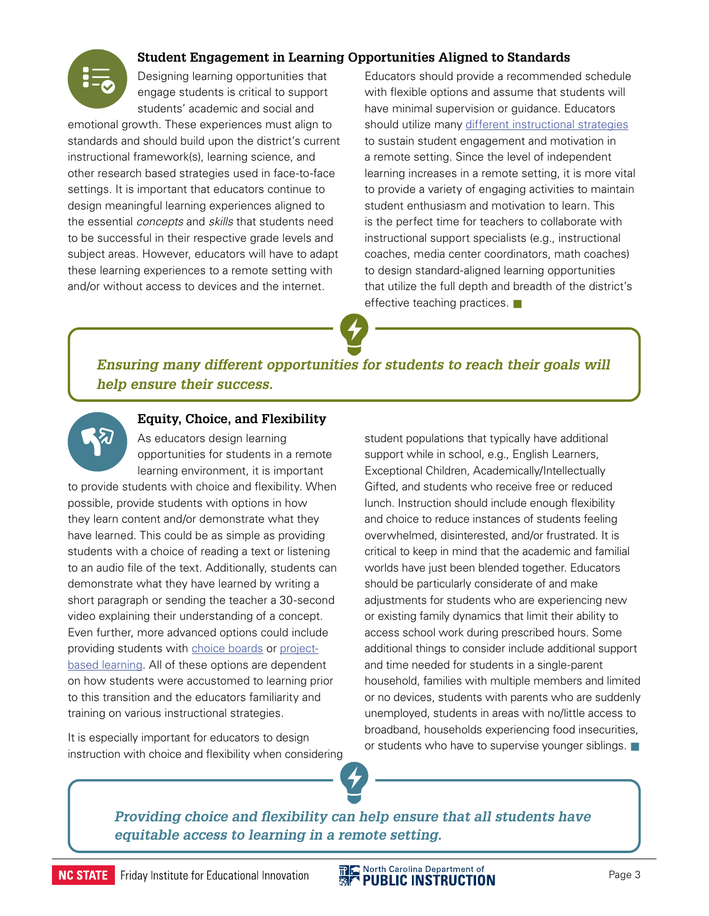

# **Student Engagement in Learning Opportunities Aligned to Standards**

Designing learning opportunities that engage students is critical to support students' academic and social and

emotional growth. These experiences must align to standards and should build upon the district's current instructional framework(s), learning science, and other research based strategies used in face-to-face settings. It is important that educators continue to design meaningful learning experiences aligned to the essential *concepts* and *skills* that students need to be successful in their respective grade levels and subject areas. However, educators will have to adapt these learning experiences to a remote setting with and/or without access to devices and the internet.

Educators should provide a recommended schedule with flexible options and assume that students will have minimal supervision or guidance. Educators should utilize many [different instructional strategies](https://sites.google.com/dpi.nc.gov/remote-learning-resources/home/instructional-resources?authuser=0) to sustain student engagement and motivation in a remote setting. Since the level of independent learning increases in a remote setting, it is more vital to provide a variety of engaging activities to maintain student enthusiasm and motivation to learn. This is the perfect time for teachers to collaborate with instructional support specialists (e.g., instructional coaches, media center coordinators, math coaches) to design standard-aligned learning opportunities that utilize the full depth and breadth of the district's effective teaching practices.  $\blacksquare$ 

*Ensuring many different opportunities for students to reach their goals will help ensure their success.*



#### **Equity, Choice, and Flexibility**

As educators design learning opportunities for students in a remote learning environment, it is important

to provide students with choice and flexibility. When possible, provide students with options in how they learn content and/or demonstrate what they have learned. This could be as simple as providing students with a choice of reading a text or listening to an audio file of the text. Additionally, students can demonstrate what they have learned by writing a short paragraph or sending the teacher a 30-second video explaining their understanding of a concept. Even further, more advanced options could include providing students with [choice boards](https://www.smore.com/z12ay-tic-tac-toe-choice-boards-menus) or [project](https://www.pblworks.org/what-is-pbl)[based learning](https://www.pblworks.org/what-is-pbl). All of these options are dependent on how students were accustomed to learning prior to this transition and the educators familiarity and training on various instructional strategies.

It is especially important for educators to design instruction with choice and flexibility when considering student populations that typically have additional support while in school, e.g., English Learners, Exceptional Children, Academically/Intellectually Gifted, and students who receive free or reduced lunch. Instruction should include enough flexibility and choice to reduce instances of students feeling overwhelmed, disinterested, and/or frustrated. It is critical to keep in mind that the academic and familial worlds have just been blended together. Educators should be particularly considerate of and make adjustments for students who are experiencing new or existing family dynamics that limit their ability to access school work during prescribed hours. Some additional things to consider include additional support and time needed for students in a single-parent household, families with multiple members and limited or no devices, students with parents who are suddenly unemployed, students in areas with no/little access to broadband, households experiencing food insecurities, or students who have to supervise younger siblings.  $\blacksquare$ 

*Providing choice and flexibility can help ensure that all students have equitable access to learning in a remote setting.*

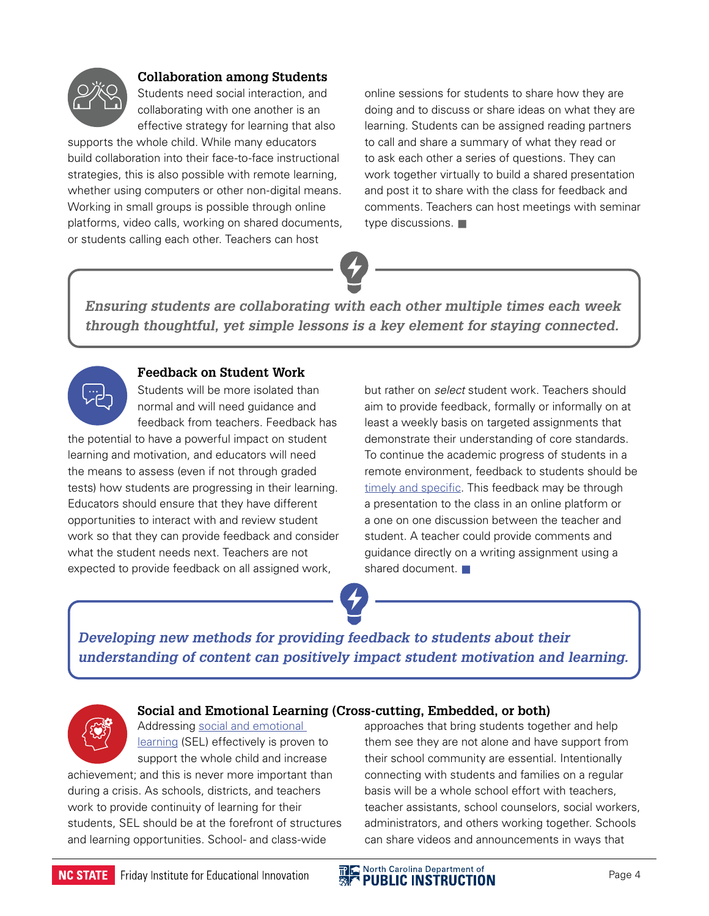

## **Collaboration among Students**

Students need social interaction, and collaborating with one another is an effective strategy for learning that also

supports the whole child. While many educators build collaboration into their face-to-face instructional strategies, this is also possible with remote learning, whether using computers or other non-digital means. Working in small groups is possible through online platforms, video calls, working on shared documents, or students calling each other. Teachers can host

online sessions for students to share how they are doing and to discuss or share ideas on what they are learning. Students can be assigned reading partners to call and share a summary of what they read or to ask each other a series of questions. They can work together virtually to build a shared presentation and post it to share with the class for feedback and comments. Teachers can host meetings with seminar type discussions.  $\blacksquare$ 

*Ensuring students are collaborating with each other multiple times each week through thoughtful, yet simple lessons is a key element for staying connected.*



## **Feedback on Student Work**

Students will be more isolated than normal and will need guidance and feedback from teachers. Feedback has

the potential to have a powerful impact on student learning and motivation, and educators will need the means to assess (even if not through graded tests) how students are progressing in their learning. Educators should ensure that they have different opportunities to interact with and review student work so that they can provide feedback and consider what the student needs next. Teachers are not expected to provide feedback on all assigned work,

but rather on *select* student work. Teachers should aim to provide feedback, formally or informally on at least a weekly basis on targeted assignments that demonstrate their understanding of core standards. To continue the academic progress of students in a remote environment, feedback to students should be [timely and specific](http://www.ascd.org/publications/educational-leadership/sept12/vol70/num01/Good-Feedback-Is-Targeted,-Specific,-Timely.aspx). This feedback may be through a presentation to the class in an online platform or a one on one discussion between the teacher and student. A teacher could provide comments and guidance directly on a writing assignment using a shared document.  $\blacksquare$ 

*Developing new methods for providing feedback to students about their understanding of content can positively impact student motivation and learning.*



## **Social and Emotional Learning (Cross-cutting, Embedded, or both)**

Addressing [social and emotional](https://casel.org/what-is-sel/)  [learning](https://casel.org/what-is-sel/) (SEL) effectively is proven to support the whole child and increase

achievement; and this is never more important than during a crisis. As schools, districts, and teachers work to provide continuity of learning for their students, SEL should be at the forefront of structures and learning opportunities. School- and class-wide

approaches that bring students together and help them see they are not alone and have support from their school community are essential. Intentionally connecting with students and families on a regular basis will be a whole school effort with teachers, teacher assistants, school counselors, social workers, administrators, and others working together. Schools can share videos and announcements in ways that